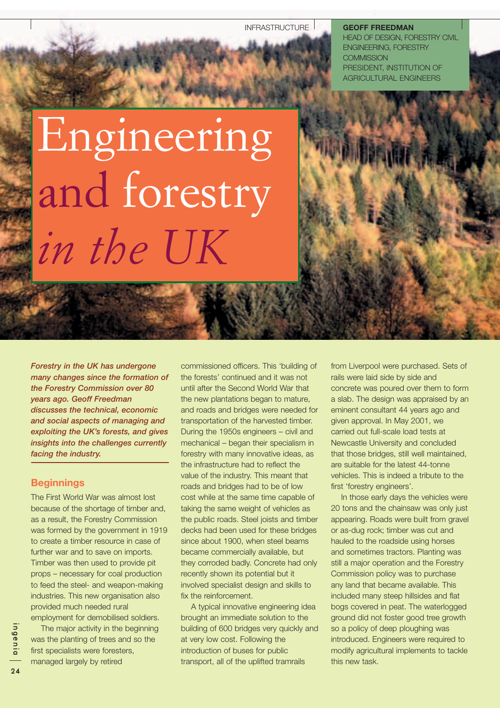INFRASTRUCTURE<sup>1</sup>

**GEOFF FREEDMAN** HEAD OF DESIGN, FORESTRY CIVIL ENGINEERING, FORESTRY **COMMISSION** PRESIDENT, INSTITUTION OF AGRICULTURAL ENGINEERS

# Engineering and forestry *in the UK*

*Forestry in the UK has undergone many changes since the formation of the Forestry Commission over 80 years ago. Geoff Freedman discusses the technical, economic and social aspects of managing and exploiting the UK's forests, and gives insights into the challenges currently facing the industry.*

## **Beginnings**

The First World War was almost lost because of the shortage of timber and, as a result, the Forestry Commission was formed by the government in 1919 to create a timber resource in case of further war and to save on imports. Timber was then used to provide pit props – necessary for coal production to feed the steel- and weapon-making industries. This new organisation also provided much needed rural employment for demobilised soldiers.

The major activity in the beginning was the planting of trees and so the first specialists were foresters, managed largely by retired

commissioned officers. This 'building of the forests' continued and it was not until after the Second World War that the new plantations began to mature, and roads and bridges were needed for transportation of the harvested timber. During the 1950s engineers – civil and mechanical – began their specialism in forestry with many innovative ideas, as the infrastructure had to reflect the value of the industry. This meant that roads and bridges had to be of low cost while at the same time capable of taking the same weight of vehicles as the public roads. Steel joists and timber decks had been used for these bridges since about 1900, when steel beams became commercially available, but they corroded badly. Concrete had only recently shown its potential but it involved specialist design and skills to fix the reinforcement.

A typical innovative engineering idea brought an immediate solution to the building of 600 bridges very quickly and at very low cost. Following the introduction of buses for public transport, all of the uplifted tramrails

from Liverpool were purchased. Sets of rails were laid side by side and concrete was poured over them to form a slab. The design was appraised by an eminent consultant 44 years ago and given approval. In May 2001, we carried out full-scale load tests at Newcastle University and concluded that those bridges, still well maintained, are suitable for the latest 44-tonne vehicles. This is indeed a tribute to the first 'forestry engineers'.

In those early days the vehicles were 20 tons and the chainsaw was only just appearing. Roads were built from gravel or as-dug rock; timber was cut and hauled to the roadside using horses and sometimes tractors. Planting was still a major operation and the Forestry Commission policy was to purchase any land that became available. This included many steep hillsides and flat bogs covered in peat. The waterlogged ground did not foster good tree growth so a policy of deep ploughing was introduced. Engineers were required to modify agricultural implements to tackle this new task.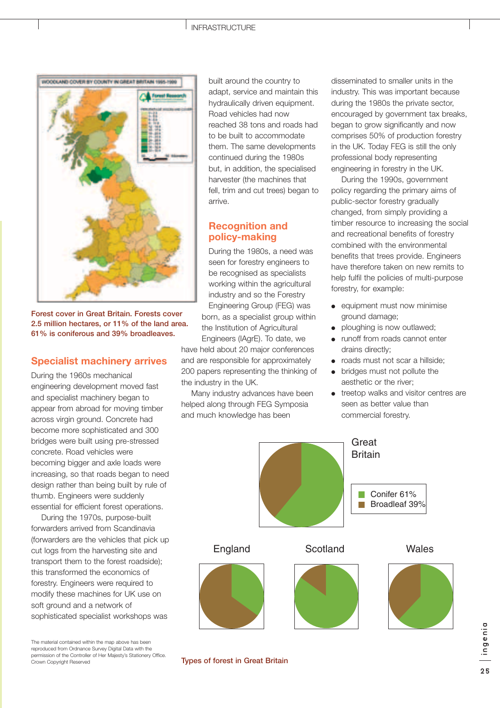

**Forest cover in Great Britain. Forests cover 2.5 million hectares, or 11% of the land area. 61% is coniferous and 39% broadleaves.**

## **Specialist machinery arrives**

During the 1960s mechanical engineering development moved fast and specialist machinery began to appear from abroad for moving timber across virgin ground. Concrete had become more sophisticated and 300 bridges were built using pre-stressed concrete. Road vehicles were becoming bigger and axle loads were increasing, so that roads began to need design rather than being built by rule of thumb. Engineers were suddenly essential for efficient forest operations.

During the 1970s, purpose-built forwarders arrived from Scandinavia (forwarders are the vehicles that pick up cut logs from the harvesting site and transport them to the forest roadside); this transformed the economics of forestry. Engineers were required to modify these machines for UK use on soft ground and a network of sophisticated specialist workshops was

The material contained within the map above has been reproduced from Ordnance Survey Digital Data with the permission of the Controller of Her Majesty's Stationery Office. Crown Copyright Reserved

built around the country to adapt, service and maintain this hydraulically driven equipment. Road vehicles had now reached 38 tons and roads had to be built to accommodate them. The same developments continued during the 1980s but, in addition, the specialised harvester (the machines that fell, trim and cut trees) began to arrive.

# **Recognition and policy-making**

During the 1980s, a need was seen for forestry engineers to be recognised as specialists working within the agricultural industry and so the Forestry Engineering Group (FEG) was born, as a specialist group within the Institution of Agricultural Engineers (IAgrE). To date, we have held about 20 major conferences and are responsible for approximately 200 papers representing the thinking of

the industry in the UK. Many industry advances have been helped along through FEG Symposia and much knowledge has been

disseminated to smaller units in the industry. This was important because during the 1980s the private sector, encouraged by government tax breaks, began to grow significantly and now comprises 50% of production forestry in the UK. Today FEG is still the only professional body representing engineering in forestry in the UK.

During the 1990s, government policy regarding the primary aims of public-sector forestry gradually changed, from simply providing a timber resource to increasing the social and recreational benefits of forestry combined with the environmental benefits that trees provide. Engineers have therefore taken on new remits to help fulfil the policies of multi-purpose forestry, for example:

- equipment must now minimise ground damage;
- ploughing is now outlawed;
- runoff from roads cannot enter drains directly;
- roads must not scar a hillside;
- bridges must not pollute the aesthetic or the river;
- treetop walks and visitor centres are seen as better value than commercial forestry.



**Types of forest in Great Britain**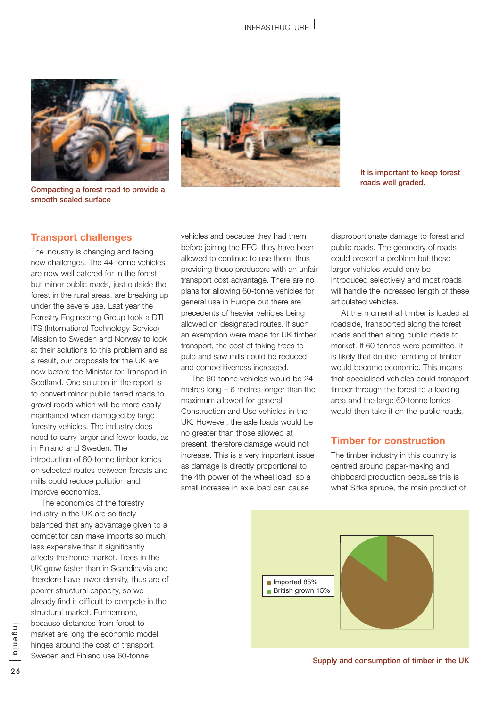

**Compacting a forest road to provide a smooth sealed surface**



**It is important to keep forest roads well graded.**

## **Transport challenges**

The industry is changing and facing new challenges. The 44-tonne vehicles are now well catered for in the forest but minor public roads, just outside the forest in the rural areas, are breaking up under the severe use. Last year the Forestry Engineering Group took a DTI ITS (International Technology Service) Mission to Sweden and Norway to look at their solutions to this problem and as a result, our proposals for the UK are now before the Minister for Transport in Scotland. One solution in the report is to convert minor public tarred roads to gravel roads which will be more easily maintained when damaged by large forestry vehicles. The industry does need to carry larger and fewer loads, as in Finland and Sweden. The introduction of 60-tonne timber lorries on selected routes between forests and mills could reduce pollution and improve economics.

The economics of the forestry industry in the UK are so finely balanced that any advantage given to a competitor can make imports so much less expensive that it significantly affects the home market. Trees in the UK grow faster than in Scandinavia and therefore have lower density, thus are of poorer structural capacity, so we already find it difficult to compete in the structural market. Furthermore, because distances from forest to market are long the economic model hinges around the cost of transport. Sweden and Finland use 60-tonne

vehicles and because they had them before joining the EEC, they have been allowed to continue to use them, thus providing these producers with an unfair transport cost advantage. There are no plans for allowing 60-tonne vehicles for general use in Europe but there are precedents of heavier vehicles being allowed on designated routes. If such an exemption were made for UK timber transport, the cost of taking trees to pulp and saw mills could be reduced and competitiveness increased.

The 60-tonne vehicles would be 24 metres long – 6 metres longer than the maximum allowed for general Construction and Use vehicles in the UK. However, the axle loads would be no greater than those allowed at present, therefore damage would not increase. This is a very important issue as damage is directly proportional to the 4th power of the wheel load, so a small increase in axle load can cause

disproportionate damage to forest and public roads. The geometry of roads could present a problem but these larger vehicles would only be introduced selectively and most roads will handle the increased length of these articulated vehicles.

At the moment all timber is loaded at roadside, transported along the forest roads and then along public roads to market. If 60 tonnes were permitted, it is likely that double handling of timber would become economic. This means that specialised vehicles could transport timber through the forest to a loading area and the large 60-tonne lorries would then take it on the public roads.

## **Timber for construction**

The timber industry in this country is centred around paper-making and chipboard production because this is what Sitka spruce, the main product of



**Supply and consumption of timber in the UK**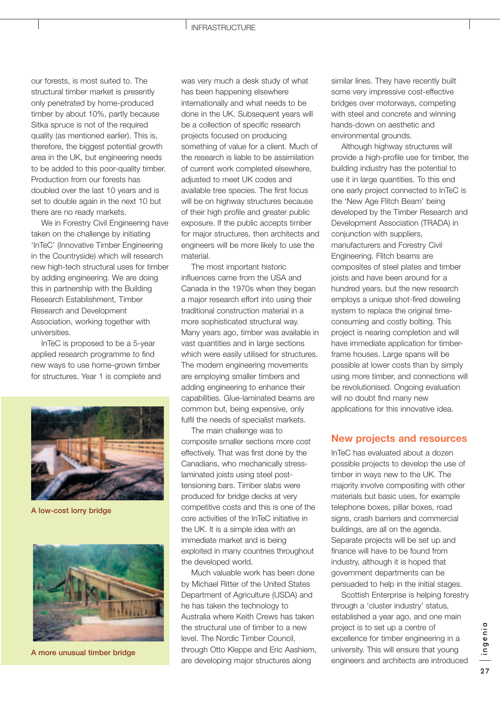#### INFRASTRUCTURE

our forests, is most suited to. The structural timber market is presently only penetrated by home-produced timber by about 10%, partly because Sitka spruce is not of the required quality (as mentioned earlier). This is, therefore, the biggest potential growth area in the UK, but engineering needs to be added to this poor-quality timber. Production from our forests has doubled over the last 10 years and is set to double again in the next 10 but there are no ready markets.

We in Forestry Civil Engineering have taken on the challenge by initiating 'InTeC' (Innovative Timber Engineering in the Countryside) which will research new high-tech structural uses for timber by adding engineering. We are doing this in partnership with the Building Research Establishment, Timber Research and Development Association, working together with universities.

InTeC is proposed to be a 5-year applied research programme to find new ways to use home-grown timber for structures. Year 1 is complete and



**A low-cost lorry bridge**



**A more unusual timber bridge**

was very much a desk study of what has been happening elsewhere internationally and what needs to be done in the UK. Subsequent years will be a collection of specific research projects focused on producing something of value for a client. Much of the research is liable to be assimilation of current work completed elsewhere, adjusted to meet UK codes and available tree species. The first focus will be on highway structures because of their high profile and greater public exposure. If the public accepts timber for major structures, then architects and engineers will be more likely to use the material.

The most important historic influences came from the USA and Canada in the 1970s when they began a major research effort into using their traditional construction material in a more sophisticated structural way. Many years ago, timber was available in vast quantities and in large sections which were easily utilised for structures. The modern engineering movements are employing smaller timbers and adding engineering to enhance their capabilities. Glue-laminated beams are common but, being expensive, only fulfil the needs of specialist markets.

The main challenge was to composite smaller sections more cost effectively. That was first done by the Canadians, who mechanically stresslaminated joists using steel posttensioning bars. Timber slabs were produced for bridge decks at very competitive costs and this is one of the core activities of the InTeC initiative in the UK. It is a simple idea with an immediate market and is being exploited in many countries throughout the developed world.

Much valuable work has been done by Michael Ritter of the United States Department of Agriculture (USDA) and he has taken the technology to Australia where Keith Crews has taken the structural use of timber to a new level. The Nordic Timber Council, through Otto Kleppe and Eric Aashiem, are developing major structures along

similar lines. They have recently built some very impressive cost-effective bridges over motorways, competing with steel and concrete and winning hands-down on aesthetic and environmental grounds.

Although highway structures will provide a high-profile use for timber, the building industry has the potential to use it in large quantities. To this end one early project connected to InTeC is the 'New Age Flitch Beam' being developed by the Timber Research and Development Association (TRADA) in conjunction with suppliers, manufacturers and Forestry Civil Engineering. Flitch beams are composites of steel plates and timber joists and have been around for a hundred years, but the new research employs a unique shot-fired doweling system to replace the original timeconsuming and costly bolting. This project is nearing completion and will have immediate application for timberframe houses. Large spans will be possible at lower costs than by simply using more timber, and connections will be revolutionised. Ongoing evaluation will no doubt find many new applications for this innovative idea.

## **New projects and resources**

InTeC has evaluated about a dozen possible projects to develop the use of timber in ways new to the UK. The majority involve compositing with other materials but basic uses, for example telephone boxes, pillar boxes, road signs, crash barriers and commercial buildings, are all on the agenda. Separate projects will be set up and finance will have to be found from industry, although it is hoped that government departments can be persuaded to help in the initial stages.

Scottish Enterprise is helping forestry through a 'cluster industry' status, established a year ago, and one main project is to set up a centre of excellence for timber engineering in a university. This will ensure that young engineers and architects are introduced